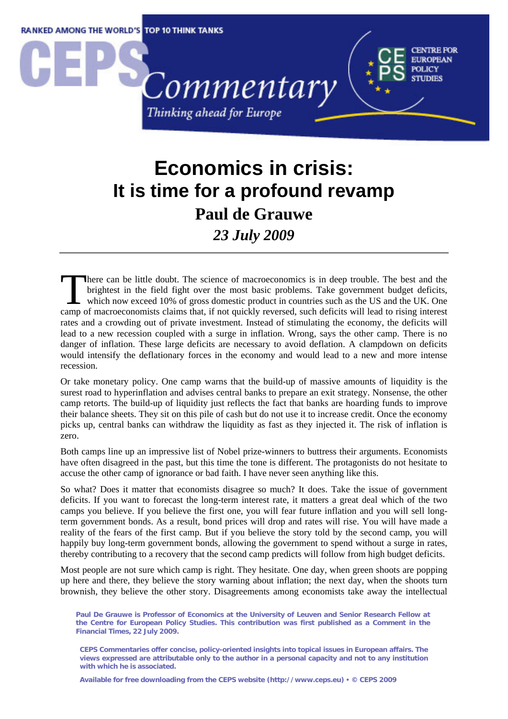

## **Economics in crisis: It is time for a profound revamp Paul de Grauwe**  *23 July 2009*

here can be little doubt. The science of macroeconomics is in deep trouble. The best and the brightest in the field fight over the most basic problems. Take government budget deficits, which now exceed 10% of gross domestic product in countries such as the US and the UK. One There can be little doubt. The science of macroeconomics is in deep trouble. The best and the brightest in the field fight over the most basic problems. Take government budget deficits, which now exceed 10% of gross domest rates and a crowding out of private investment. Instead of stimulating the economy, the deficits will lead to a new recession coupled with a surge in inflation. Wrong, says the other camp. There is no danger of inflation. These large deficits are necessary to avoid deflation. A clampdown on deficits would intensify the deflationary forces in the economy and would lead to a new and more intense recession.

Or take monetary policy. One camp warns that the build-up of massive amounts of liquidity is the surest road to hyperinflation and advises central banks to prepare an exit strategy. Nonsense, the other camp retorts. The build-up of liquidity just reflects the fact that banks are hoarding funds to improve their balance sheets. They sit on this pile of cash but do not use it to increase credit. Once the economy picks up, central banks can withdraw the liquidity as fast as they injected it. The risk of inflation is zero.

Both camps line up an impressive list of Nobel prize-winners to buttress their arguments. Economists have often disagreed in the past, but this time the tone is different. The protagonists do not hesitate to accuse the other camp of ignorance or bad faith. I have never seen anything like this.

So what? Does it matter that economists disagree so much? It does. Take the issue of government deficits. If you want to forecast the long-term interest rate, it matters a great deal which of the two camps you believe. If you believe the first one, you will fear future inflation and you will sell longterm government bonds. As a result, bond prices will drop and rates will rise. You will have made a reality of the fears of the first camp. But if you believe the story told by the second camp, you will happily buy long-term government bonds, allowing the government to spend without a surge in rates, thereby contributing to a recovery that the second camp predicts will follow from high budget deficits.

Most people are not sure which camp is right. They hesitate. One day, when green shoots are popping up here and there, they believe the story warning about inflation; the next day, when the shoots turn brownish, they believe the other story. Disagreements among economists take away the intellectual

**Paul De Grauwe is Professor of Economics at the University of Leuven and Senior Research Fellow at the Centre for European Policy Studies. This contribution was first published as a Comment in the Financial Times, 22 July 2009.** 

**CEPS Commentaries offer concise, policy-oriented insights into topical issues in European affairs. The views expressed are attributable only to the author in a personal capacity and not to any institution with which he is associated.** 

**Available for free downloading from the CEPS website (http://www.ceps.eu)** y **© CEPS 2009**